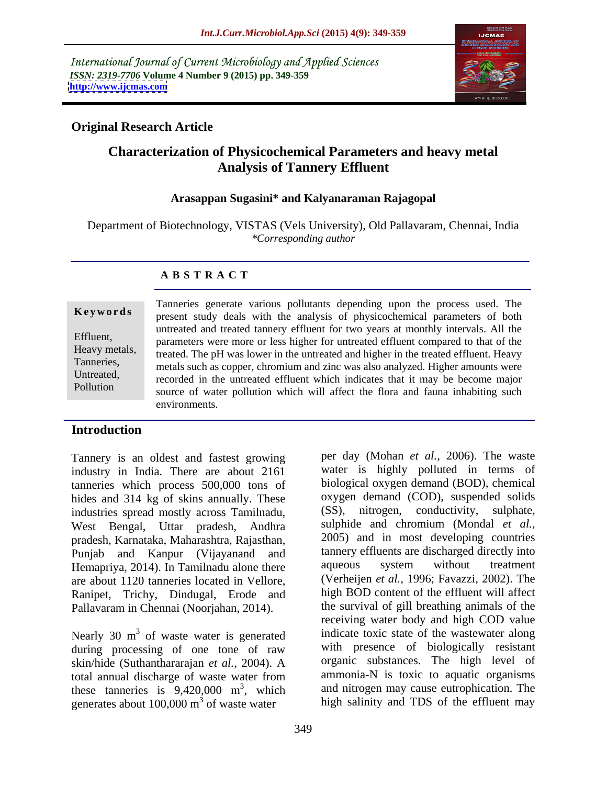International Journal of Current Microbiology and Applied Sciences *ISSN: 2319-7706* **Volume 4 Number 9 (2015) pp. 349-359 <http://www.ijcmas.com>**



## **Original Research Article**

# **Characterization of Physicochemical Parameters and heavy metal Analysis of Tannery Effluent**

### **Arasappan Sugasini\* and Kalyanaraman Rajagopal**

Department of Biotechnology, VISTAS (Vels University), Old Pallavaram, Chennai, India *\*Corresponding author*

### **A B S T R A C T**

Pollution

Tanneries generate various pollutants depending upon the process used. The **Keywords** rainback spinking various performing appearing upon the process used. The present study deals with the analysis of physicochemical parameters of both untreated and treated tannery effluent for two years at monthly intervals. All the Effluent,<br>
parameters were more or less higher for untreated effluent compared to that of the Heavy metals, treated. The pH was lower in the untreated and higher in the treated effluent. Heavy Tanneries,<br>
metals such as copper, chromium and zinc was also analyzed. Higher amounts were Untreated,<br>
recorded in the untreated effluent which indicates that it may be become major source of water pollution which will affect the flora and fauna inhabiting such environments.

### **Introduction**

Tannery is an oldest and fastest growing industry in India. There are about 2161 tanneries which process 500,000 tons of hides and 314 kg of skins annually. These industries spread mostly across Tamilnadu, West Bengal, Uttar pradesh, Andhra pradesh, Karnataka, Maharashtra, Rajasthan, Punjab and Kanpur (Vijayanand and tannery effluents are discharged directly into<br>Hemanriya 2014) In Tamilnadu alone there aqueous system without treatment Hemapriya, 2014). In Tamilnadu alone there are about 1120 tanneries located in Vellore, Ranipet, Trichy, Dindugal, Erode and Pallavaram in Chennai (Noorjahan, 2014).

Nearly 30 m<sup>3</sup> of waste water is generated during processing of one tone of raw skin/hide (Suthanthararajan *et al.,* 2004). A these tanneries is  $9,420,000$  m<sup>3</sup>, which generates about  $100,000 \text{ m}^3$  of waste water

<sup>3</sup> of waste water is generated indicate toxic state of the wastewater along total annual discharge of waste water from ammonia-N is toxic to aquatic organisms <sup>3</sup>, which and nitrogen may cause eutrophication. The of waste water high salinity and TDS of the effluent may per day (Mohan *et al.,* 2006). The waste water is highly polluted in terms of biological oxygen demand (BOD), chemical oxygen demand (COD), suspended solids (SS), nitrogen, conductivity, sulphate, sulphide and chromium (Mondal *et al.,* 2005) and in most developing countries tannery effluents are discharged directly into aqueous system without treatment (Verheijen *et al.,* 1996; Favazzi, 2002). The high BOD content of the effluent will affect the survival of gill breathing animals of the receiving water body and high COD value with presence of biologically resistant organic substances. The high level of ammonia-N is toxic to aquatic organisms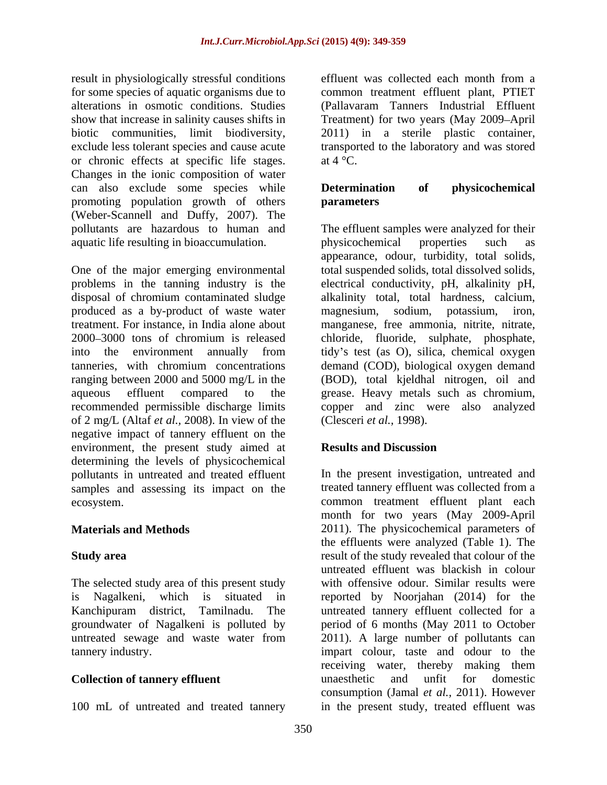result in physiologically stressful conditions effluent was collected each month from a alterations in osmotic conditions. Studies or chronic effects at specific life stages.  $at 4^{\circ}C$ . Changes in the ionic composition of water can also exclude some species while **Determination** of **physicochemical** promoting population growth of others **parameters** (Weber-Scannell and Duffy, 2007). The aquatic life resulting in bioaccumulation.

One of the major emerging environmental produced as a by-product of waste water magnesium, sodium, potassium, iron, recommended permissible discharge limits of 2 mg/L (Altaf *et al.,* 2008). In view of the negative impact of tannery effluent on the environment, the present study aimed at determining the levels of physicochemical samples and assessing its impact on the

The selected study area of this present study

100 mL of untreated and treated tannery in the present study, treated effluent was

for some species of aquatic organisms due to common treatment effluent plant, PTIET show that increase in salinity causes shifts in Treatment) for two years (May 2009–April biotic communities, limit biodiversity, 2011) in a sterile plastic container, exclude less tolerant species and cause acute transported to the laboratory and was stored effluent was collected each month from a (Pallavaram Tanners Industrial Effluent at  $4^{\circ}$ C.

### **Determination of physicochemical parameters**

pollutants are hazardous to human and The effluent samples were analyzed for their problems in the tanning industry is the electrical conductivity, pH, alkalinity pH, disposal of chromium contaminated sludge alkalinity total, total hardness, calcium, produced as a by-product of waste water magnesium, sodium, potassium, iron, treatment. For instance, in India alone about manganese, free ammonia, nitrite, nitrate, 2000 3000 tons of chromium is released chloride, fluoride, sulphate, phosphate, into the environment annually from tidy's test (as O), silica, chemical oxygen tanneries, with chromium concentrations demand (COD), biological oxygen demand ranging between 2000 and 5000 mg/L in the (BOD), total kjeldhal nitrogen, oil and aqueous effluent compared to the grease. Heavy metals such as chromium, physicochemical properties such as appearance, odour, turbidity, total solids, total suspended solids, total dissolved solids, copper and zinc were also analyzed (Clesceri *et al.,* 1998).

## **Results and Discussion**

pollutants in untreated and treated effluent In the present investigation, untreated and ecosystem. common treatment effluent plant each **Materials and Methods** 2011). The physicochemical parameters of **Study area** result of the study revealed that colour of the is Nagalkeni, which is situated in reported by Noorjahan (2014) for the Kanchipuram district, Tamilnadu. The untreated tannery effluent collected for a groundwater of Nagalkeni is polluted by period of 6 months (May 2011 to October untreated sewage and waste water from 2011). A large number of pollutants can tannery industry. impart colour, taste and odour to the **Collection of tannery effluent** unaesthetic and unfit for domestic treated tannery effluent was collected from a month for two years (May 2009-April the effluents were analyzed (Table 1). The untreated effluent was blackish in colour with offensive odour. Similar results were receiving water, thereby making them unaesthetic and unfit for domestic consumption (Jamal *et al.,* 2011). However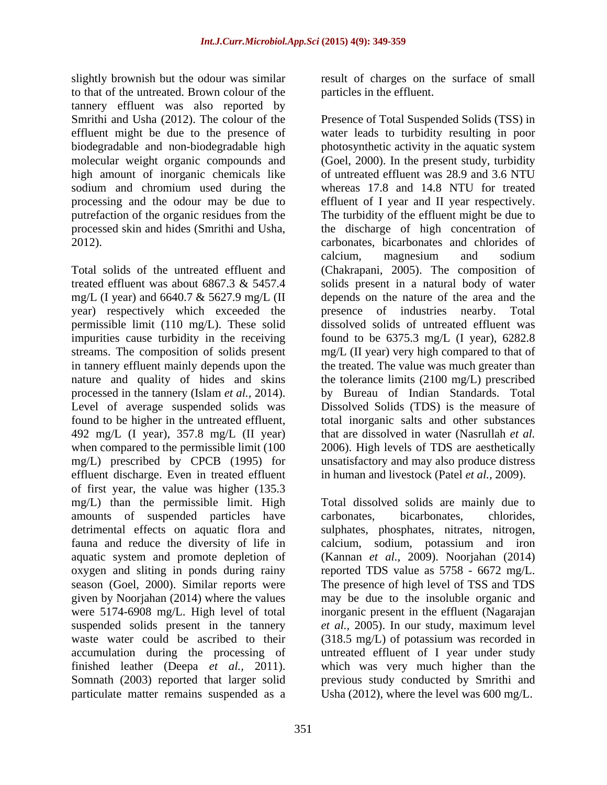to that of the untreated. Brown colour of the tannery effluent was also reported by high amount of inorganic chemicals like sodium and chromium used during the

year) respectively which exceeded the Level of average suspended solids was found to be higher in the untreated effluent, mg/L) prescribed by CPCB (1995) for effluent discharge. Even in treated effluent of first year, the value was higher  $(135.3 \text{ mg/L})$  than the permissible limit. High amounts of suspended particles have carbonates, bicarbonates, chlorides, oxygen and sliting in ponds during rainy Somnath (2003) reported that larger solid particulate matter remains suspended as a

slightly brownish but the odour was similar result of charges on the surface of small particles in the effluent.

Smrithi and Usha (2012). The colour of the Presence of Total Suspended Solids (TSS) in effluent might be due to the presence of water leads to turbidity resulting in poor biodegradable and non-biodegradable high photosynthetic activity in the aquatic system molecular weight organic compounds and (Goel, 2000). In the present study, turbidity processing and the odour may be due to effluent of I year and II year respectively. putrefaction of the organic residues from the The turbidity of the effluent might be due to processed skin and hides (Smrithi and Usha, the discharge of high concentration of 2012). carbonates, bicarbonates and chlorides of Total solids of the untreated effluent and (Chakrapani, 2005). The composition of treated effluent was about 6867.3 & 5457.4 solids present in a natural body of water mg/L (I year) and 6640.7 & 5627.9 mg/L (II depends on the nature of the area and the permissible limit (110 mg/L). These solid dissolved solids of untreated effluent was impurities cause turbidity in the receiving found to be 6375.3 mg/L (I year), 6282.8 streams. The composition of solids present mg/L (II year) very high compared to that of in tannery effluent mainly depends upon the treated. The value was much greater than nature and quality of hides and skins the tolerance limits (2100 mg/L) prescribed processed in the tannery (Islam *et al.,* 2014). by Bureau of Indian Standards. Total 492 mg/L (I year), 357.8 mg/L (II year) that are dissolved in water (Nasrullah *et al.* when compared to the permissible limit (100  $\qquad$  2006). High levels of TDS are aesthetically of untreated effluent was 28.9 and 3.6 NTU whereas 17.8 and 14.8 NTU for treated calcium, magnesium and sodium presence of industries nearby. Total Dissolved Solids (TDS) is the measure of total inorganic salts and other substances unsatisfactory and may also produce distress in human and livestock (Patel *et al.,* 2009).

mg/L) than the permissible limit. High Total dissolved solids are mainly due to detrimental effects on aquatic flora and sulphates, phosphates, nitrates, nitrogen, fauna and reduce the diversity of life in calcium, sodium, potassium and iron aquatic system and promote depletion of (Kannan *et al.,* 2009). Noorjahan (2014) season (Goel, 2000). Similar reports were The presence of high level of TSS and TDS given by Noorjahan (2014) where the values may be due to the insoluble organicand were 5174-6908 mg/L. High level of total inorganic present in the effluent (Nagarajan suspended solids present in the tannery *et al.,* 2005). In our study, maximum level waste water could be ascribed to their (318.5 mg/L) of potassium was recorded in accumulation during the processing of untreated effluent of I year under study finished leather (Deepa *et al.,* 2011). which was very much higher than the carbonates, bicarbonates, chlorides, reported TDS value as 5758 - 6672mg/L. previous study conducted by Smrithi and Usha (2012), where the level was 600 mg/L.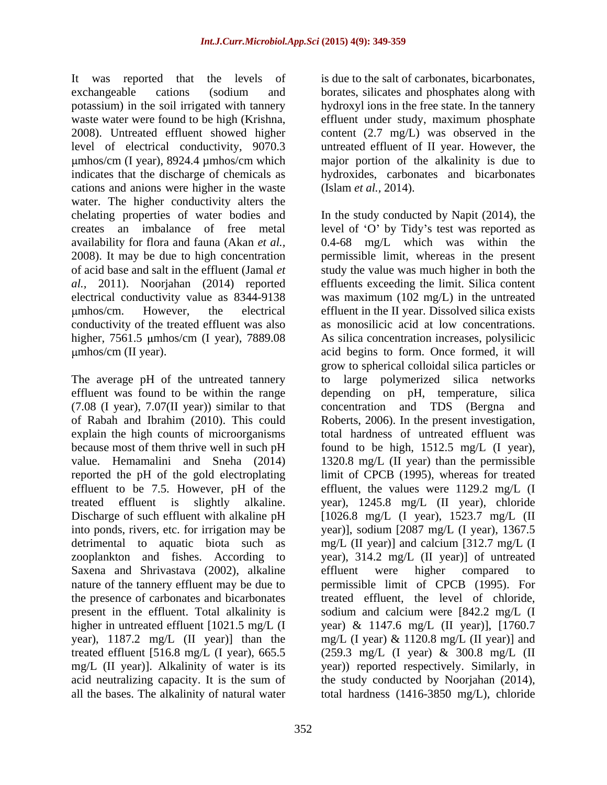It was reported that the levels of exchangeable cations (sodium and borates, silicates and phosphates along with potassium) in the soil irrigated with tannery hydroxyl ions in the free state. In the tannery waste water were found to be high (Krishna, effluent under study, maximum phosphate 2008). Untreated effluent showed higher content (2.7 mg/L) was observed in the level of electrical conductivity, 9070.3 untreated effluent of II year.However, the indicates that the discharge of chemicals as hydroxides, carbonates and bicarbonates cations and anions were higher in the waste water. The higher conductivity alters the

The average pH of the untreated tannery (7.08 (I year), 7.07(II year)) similar to that effluent to be 7.5. However, pH of the Saxena and Shrivastava (2002), alkaline effluent were higher compared to all the bases. The alkalinity of natural water total hardness (1416-3850 mg/L), chloride

mhos/cm (I year), 8924.4 µmhos/cm which major portion of the alkalinity is due to is due to the salt of carbonates, bicarbonates, (Islam *et al.,* 2014).

chelating properties of water bodies and In the study conducted by Napit (2014), the creates an imbalance of free metal level of 'O' by Tidy's test was reported as availability for flora and fauna (Akan *et al.,* 0.4-68 mg/L which was within the 2008). It may be due to high concentration permissible limit, whereas in the present of acid base and salt in the effluent (Jamal *et*  study the value was much higher in both the *al.,* 2011). Noorjahan (2014) reported effluents exceeding the limit. Silica content electrical conductivity value as 8344-9138 was maximum (102 mg/L) in the untreated mhos/cm. However, the electrical effluent in the II year. Dissolved silica exists conductivity of the treated effluent was also as monosilicic acid at low concentrations. higher, 7561.5 µmhos/cm (I year), 7889.08 As silica concentration increases, polysilicic mhos/cm (II year). acid begins to form. Once formed, it will effluent was found to be within the range depending on pH, temperature, silica of Rabah and Ibrahim (2010). This could Roberts, 2006). In the present investigation, explain the high counts of microorganisms total hardness of untreated effluent was because most of them thrive well in such pH found to be high, 1512.5 mg/L (I year), value. Hemamalini and Sneha (2014) 1320.8 mg/L (II year) than the permissible reported the pH of the gold electroplating limit of CPCB (1995), whereas for treated treated effluent is slightly alkaline. year), 1245.8 mg/L (II year), chloride Discharge of such effluent with alkaline pH [1026.8 mg/L (I year), 1523.7 mg/L (II into ponds, rivers, etc. for irrigation may be year)], sodium [2087 mg/L (I year), 1367.5 detrimental to aquatic biota such as mg/L (II year)] and calcium [312.7 mg/L (I zooplankton and fishes. According to year), 314.2 mg/L (II year)] of untreated nature of the tannery effluent may be due to permissible limit of CPCB (1995). For the presence of carbonates and bicarbonates treated effluent, the level of chloride, present in the effluent. Total alkalinity is sodium and calcium were [842.2 mg/L (I higher in untreated effluent [1021.5 mg/L (I year) & 1147.6 mg/L (II year)], [1760.7 year), 1187.2 mg/L (II year)] than the mg/L (I year) & 1120.8 mg/L (II year)] and treated effluent [516.8 mg/L (I year), 665.5 (259.3 mg/L (I year) & 300.8 mg/L (II mg/L (II year)]. Alkalinity of water is its year)) reported respectively. Similarly, in acid neutralizing capacity. It is the sum of the study conducted by Noorjahan (2014), grow to spherical colloidal silica particles or to large polymerized silica networks concentration and TDS (Bergna effluent, the values were 1129.2 mg/L (I effluent were higher compared to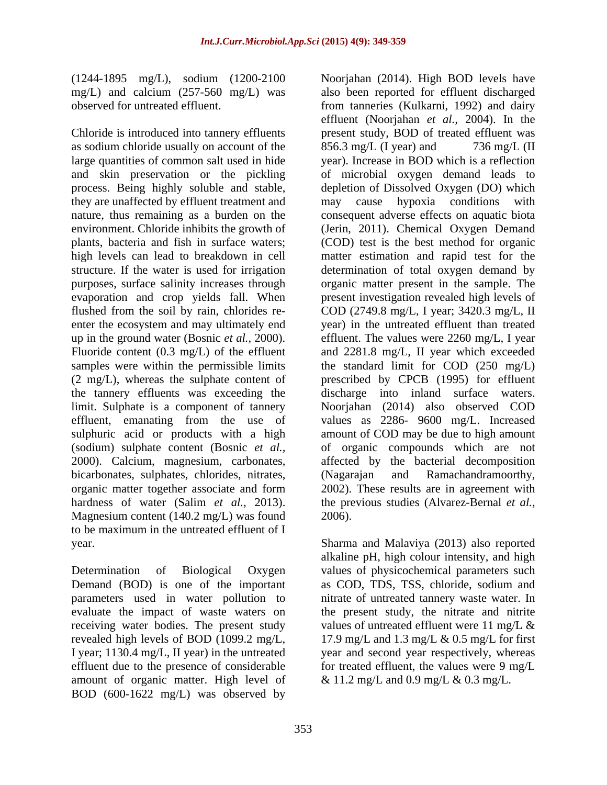(1244-1895 mg/L), sodium (1200-2100

Chloride is introduced into tannery effluents as sodium chloride usually on account of the 856.3 mg/L (I year) and 736 mg/L (II they are unaffected by effluent treatment and evaporation and crop yields fall. When enter the ecosystem and may ultimately end limit. Sulphate is a component of tannery sulphuric acid or products with a high (sodium) sulphate content (Bosnic *et al.,* bicarbonates, sulphates, chlorides, nitrates, (Nagarajan and Ramachandramoorthy, Magnesium content (140.2 mg/L) was found 2006). to be maximum in the untreated effluent of I year. Sharma and Malaviya (2013) also reported

Determination of Biological Oxygen values of physicochemical parameters such Demand (BOD) is one of the important as COD, TDS, TSS, chloride, sodium and parameters used in water pollution to nitrate of untreated tannery waste water. In evaluate the impact of waste waters on the present study, the nitrate and nitrite receiving water bodies. The present study values of untreated effluent were 11 mg/L  $\&$ revealed high levels of BOD (1099.2 mg/L,  $17.9 \text{ mg/L}$  and 1.3 mg/L & 0.5 mg/L for first I year; 1130.4 mg/L, II year) in the untreated year and second year respectively, whereas effluent due to the presence of considerable for treated effluent, the values were 9 mg/L amount of organic matter. High level of BOD (600-1622 mg/L) was observed by

mg/L) and calcium (257-560 mg/L) was also been reported for effluent discharged observed for untreated effluent. from tanneries (Kulkarni, 1992) and dairy large quantities of common salt used in hide year). Increase in BOD which is a reflection and skin preservation or the pickling of microbial oxygen demand leads to process. Being highly soluble and stable, depletion of Dissolved Oxygen (DO) which nature, thus remaining as a burden on the consequent adverse effects on aquatic biota environment. Chloride inhibits the growth of (Jerin, 2011). Chemical Oxygen Demand plants, bacteria and fish in surface waters; (COD) test is the best method for organic high levels can lead to breakdown in cell matter estimation and rapid test for the structure. If the water is used for irrigation determination of total oxygen demand by purposes, surface salinity increases through organic matter present in the sample. The flushed from the soil by rain, chlorides re- COD (2749.8 mg/L, I year; 3420.3 mg/L, II up in the ground water (Bosnic *et al.,* 2000). effluent. The values were 2260 mg/L, I year Fluoride content (0.3 mg/L) of the effluent and 2281.8 mg/L, II year which exceeded samples were within the permissible limits the standard limit for COD (250 mg/L) (2 mg/L), whereas the sulphate content of prescribed by CPCB (1995) for effluent the tannery effluents was exceeding the discharge into inland surface waters. effluent, emanating from the use of values as 2286- 9600 mg/L. Increased 2000). Calcium, magnesium, carbonates, affected by the bacterial decomposition organic matter together associate and form 2002). These results are in agreement with hardness of water (Salim *et al.,* 2013). the previous studies (Alvarez-Bernal *et al.,* Noorjahan (2014). High BOD levels have effluent (Noorjahan *et al.,* 2004). In the present study, BOD of treated effluent was  $856.3 \text{ mg/L}$  (I year) and  $736 \text{ mg/L}$  (II hypoxia conditions with present investigation revealed high levels of year) in the untreated effluent than treated Noorjahan (2014) also observed COD amount of COD may be due to high amount of organic compounds which are not (Nagarajan and Ramachandramoorthy, 2006).

> alkaline pH, high colour intensity, and high values of untreated effluent were 11 mg/L  $\&$ & 11.2 mg/L and 0.9 mg/L & 0.3 mg/L.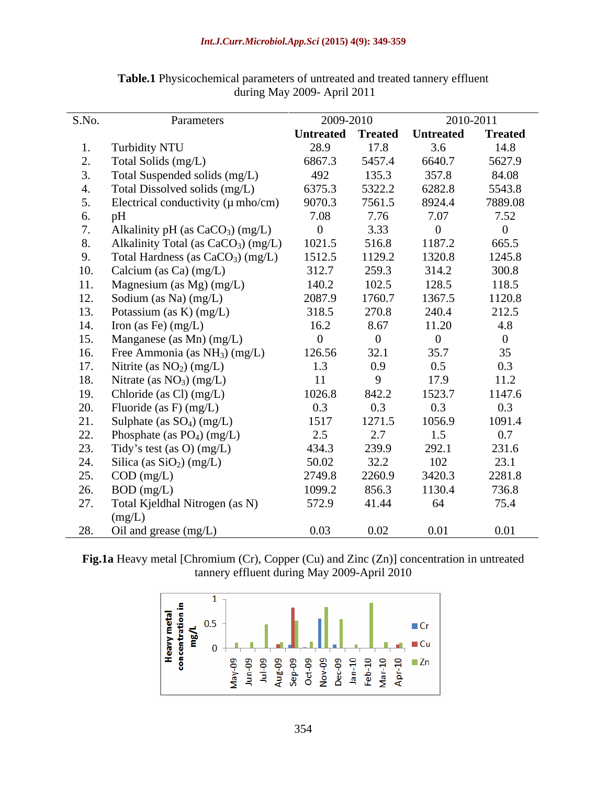| S.No.           | Parameters                                      |                          | 2009-2010      |                  | 2010-2011      |  |
|-----------------|-------------------------------------------------|--------------------------|----------------|------------------|----------------|--|
|                 |                                                 | <b>Untreated Treated</b> |                | <b>Untreated</b> | <b>Treated</b> |  |
|                 | Turbidity NTU                                   | 28.9                     | 17.8           | 3.6              | 14.8           |  |
|                 | Total Solids (mg/L)                             | 6867.3                   | 5457.4         | 6640.7           | 5627.9         |  |
|                 | Total Suspended solids (mg/L)                   | 492                      | 135.3          | 357.8            | 84.08          |  |
|                 | Total Dissolved solids (mg/L)                   | 6375.3                   | 5322.2         | 6282.8           | 5543.8         |  |
|                 | Electrical conductivity $(\mu \text{ mho/cm})$  | 9070.3                   | 7561.5         | 8924.4           | 7889.08        |  |
| 6.              | pH                                              | 7.08                     | 7.76           | 7.07             | 7.52           |  |
|                 | Alkalinity pH (as $CaCO3$ ) (mg/L)              |                          | 3.33           | $\overline{0}$   | $\theta$       |  |
| 8.              | Alkalinity Total (as CaCO <sub>3</sub> ) (mg/L) | 1021.5                   | 516.8          | 1187.2           | 665.5          |  |
| 9.              | Total Hardness (as CaCO <sub>3</sub> ) (mg/L)   | 1512.5                   | 1129.2         | 1320.8           | 1245.8         |  |
| 10.             | Calcium (as Ca) (mg/L)                          | 312.7                    | 259.3          | 314.2            | 300.8          |  |
|                 | Magnesium (as Mg) (mg/L)                        | 140.2                    | 102.5          | 128.5            | 118.5          |  |
| 12 <sup>1</sup> | Sodium (as Na) (mg/L)                           | 2087.9                   | 1760.7         | 1367.5           | 1120.8         |  |
|                 | Potassium (as K) (mg/L)                         | 318.5                    | 270.8          | 240.4            | 212.5          |  |
| 14.             | Iron (as Fe) $(mg/L)$                           | 16.2                     | 8.67           | 11.20            | 4.8            |  |
| 15.             | Manganese (as Mn) (mg/L)                        | $\Omega$                 | $\overline{0}$ | $\overline{0}$   | $\theta$       |  |
| 16.             | Free Ammonia (as $NH3$ ) (mg/L)                 | 126.56                   | 32.1           | 35.7             | 35             |  |
| 17.             | Nitrite (as $NO2$ ) (mg/L)                      | 1.3                      | 0.9            | 0.5              | 0.3            |  |
| 18.             | Nitrate (as $NO3$ ) (mg/L)                      | <sup>11</sup>            | 9              | 17.9             | 11.2           |  |
| 19.             | Chloride (as Cl) $(mg/L)$                       | 1026.8                   | 842.2          | 1523.7           | 1147.6         |  |
| 20.             | Fluoride (as F) $(mg/L)$                        | 0.3                      | 0.3            | 0.3              | 0.3            |  |
| 21.             | Sulphate (as $SO_4$ ) (mg/L)                    | 1517                     | 1271.5         | 1056.9           | 1091.4         |  |
| 22.             | Phosphate (as $PO_4$ ) (mg/L)                   | 2.5                      | 2.7            | 1.5              | 0.7            |  |
| 23.             | Tidy's test (as O) (mg/L)                       | 434.3                    | 239.9          | 292.1            | 231.6          |  |
| 24.             | Silica (as $SiO2$ ) (mg/L)                      | 50.02                    | 32.2           | 102              | 23.1           |  |
| 25.             | $COD$ (mg/L)                                    | 2749.8                   | 2260.9         | 3420.3           | 2281.8         |  |
| 26.             | $BOD$ (mg/L)                                    | 1099.2                   | 856.3          | 1130.4           | 736.8          |  |
| 27.             | Total Kjeldhal Nitrogen (as N)                  | 572.9                    | 41.44          | 64               | 75.4           |  |
|                 | (mg/L)                                          |                          |                |                  |                |  |
| 28.             | Oil and grease (mg/L)                           | 0.03                     | 0.02           | 0.01             | 0.01           |  |

**Table.1** Physicochemical parameters of untreated and treated tannery effluent during May 2009- April 2011

**Fig.1a** Heavy metal [Chromium (Cr), Copper (Cu) and Zinc (Zn)] concentration in untreated tannery effluent during May 2009-April 2010

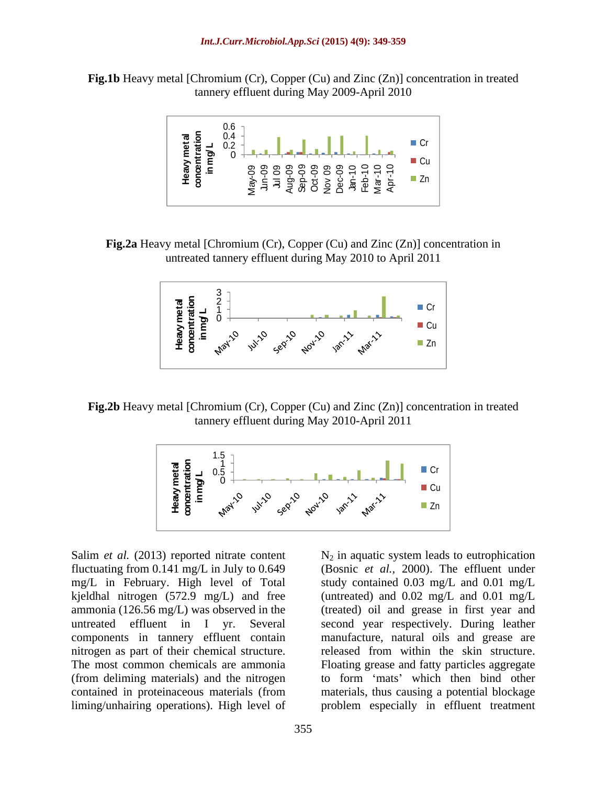**Fig.1b** Heavy metal [Chromium (Cr), Copper (Cu) and Zinc (Zn)] concentration in treated tannery effluent during May 2009-April 2010



**Fig.2a** Heavy metal [Chromium (Cr), Copper (Cu) and Zinc (Zn)] concentration in untreated tannery effluent during May 2010 to April 2011



**Fig.2b** Heavy metal [Chromium (Cr), Copper (Cu) and Zinc (Zn)] concentration in treated tannery effluent during May 2010-April 2011



Salim *et al.* (2013) reported nitrate content  $N_2$  in aquatic system leads to eutrophication components in tannery effluent contain nitrogen as part of their chemical structure. liming/unhairing operations). High level of problem especially in effluent treatment

fluctuating from 0.141 mg/L in July to 0.649 (Bosnic *et al.,* 2000). The effluent under mg/L in February. High level of Total study contained 0.03 mg/L and 0.01 mg/L kjeldhal nitrogen (572.9 mg/L) and free (untreated) and 0.02 mg/L and 0.01 mg/L ammonia (126.56 mg/L) was observed in the (treated) oil and grease in first year and untreated effluent in I yr. Several second year respectively. During leather The most common chemicals are ammonia Floating grease and fatty particles aggregate (from deliming materials) and the nitrogen to form 'mats' which then bind other contained in proteinaceous materials (from materials, thus causing a potential blockage manufacture, natural oils and grease are released from within the skin structure.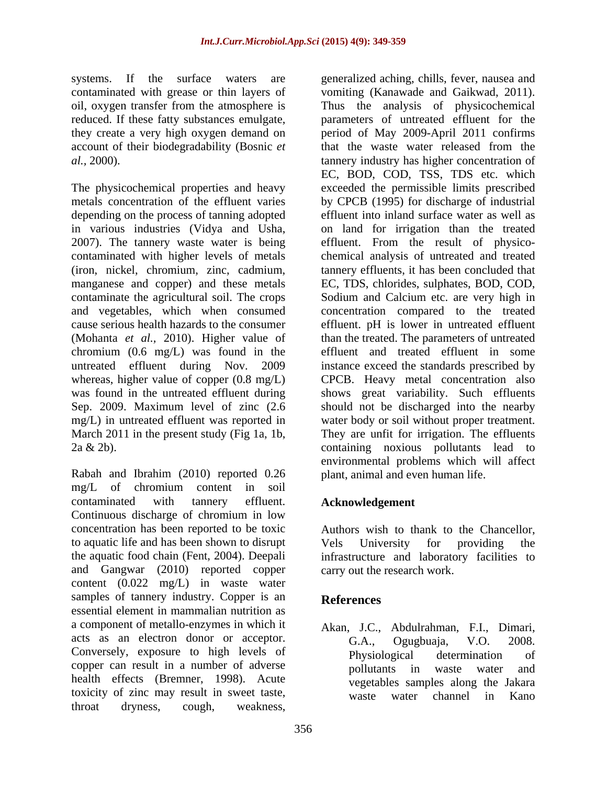oil, oxygen transfer from the atmosphere is

depending on the process of tanning adopted in various industries (Vidya and Usha, chromium (0.6 mg/L) was found in the

Rabah and Ibrahim (2010) reported 0.26 mg/L of chromium content in soil contaminated with tannery effluent. Acknowledgement Continuous discharge of chromium in low concentration has been reported to be toxic to aquatic life and has been shown to disrupt the aquatic food chain (Fent, 2004). Deepali infrastructure and laboratory facilities to and Gangwar (2010) reported copper content (0.022 mg/L) in waste water samples of tannery industry. Copper is an **References** essential element in mammalian nutrition as a component of metallo-enzymes in which it acts as an electron donor or acceptor. G.A., Ogugbuaja, V.O. 2008. Conversely, exposure to high levels of Physiological determination of copper can result in a number of adverse pollutants in waste water and health effects (Bremner, 1998). Acute toxicity of zinc may result in sweet taste, waste water channel in Kano throat dryness, cough, weakness,

systems. If the surface waters are generalized aching, chills, fever, nausea and contaminated with grease or thin layers of vomiting (Kanawade and Gaikwad, 2011). reduced. If these fatty substances emulgate, parameters of untreated effluent for the they create a very high oxygen demand on period of May 2009-April 2011 confirms account of their biodegradability (Bosnic *et*  that the waste water released from the *al.,* 2000). tannery industry has higher concentration of The physicochemical properties and heavy exceeded the permissible limits prescribed metals concentration of the effluent varies by CPCB (1995) for discharge of industrial 2007). The tannery waste water is being effluent. From the result of physico contaminated with higher levels of metals chemical analysis of untreated and treated (iron, nickel, chromium, zinc, cadmium, tannery effluents, it has been concluded that manganese and copper) and these metals EC, TDS, chlorides, sulphates, BOD, COD, contaminate the agricultural soil. The crops Sodium and Calcium etc. are very high in and vegetables, which when consumed concentration compared to the treated cause serious health hazards to the consumer effluent. pH is lower in untreated effluent (Mohanta *et al.,* 2010). Higher value of than the treated. The parameters of untreated untreated effluent during Nov. 2009 instance exceed the standards prescribed by whereas, higher value of copper (0.8 mg/L) CPCB. Heavy metal concentration also was found in the untreated effluent during shows great variability. Such effluents Sep. 2009. Maximum level of zinc (2.6 should not be discharged into the nearby mg/L) in untreated effluent was reported in water body or soil without proper treatment. March 2011 in the present study (Fig 1a, 1b, They are unfit for irrigation. The effluents 2a & 2b). containing noxious pollutants lead to Thus the analysis of physicochemical EC, BOD, COD, TSS, TDS etc. which effluent into inland surface water as well as on land for irrigation than the treated effluent and treated effluent in some environmental problems which will affect plant, animal and even human life.

## **Acknowledgement**

Authors wish to thank to the Chancellor, Vels University for providing the carry out the research work.

## **References**

Akan, J.C., Abdulrahman, F.I., Dimari, G.A., Ogugbuaja, V.O. 2008. Physiological determination of pollutants in waste water and vegetables samples along the Jakara waste water channel in Kano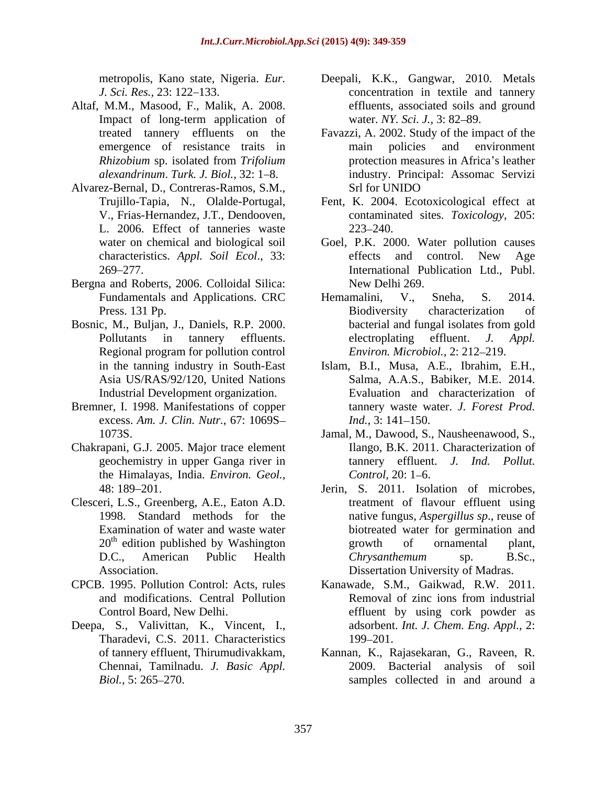- Altaf, M.M., Masood, F., Malik, A. 2008.
- Alvarez-Bernal, D., Contreras-Ramos, S.M., L. 2006. Effect of tanneries waste
- Bergna and Roberts, 2006. Colloidal Silica:
- Regional program for pollution control
- Bremner, I. 1998. Manifestations of copper excess. *Am. J. Clin. Nutr.*, 67: 1069S
- Chakrapani, G.J. 2005. Major trace element the Himalayas, India. *Environ. Geol.,*
- Clesceri, L.S., Greenberg, A.E., Eaton A.D.
- 
- Deepa, S., Valivittan, K., Vincent, I., Tharadevi, C.S. 2011. Characteristics 199–201.
- metropolis, Kano state, Nigeria. *Eur.*  Deepali, K.K., Gangwar, 2010. Metals *J. Sci. Res.,* 23: 122–133. **concentration** in textile and tannery Impact of long-term application of water. NY. Sci. J., 3: 82–89. effluents, associated soils and ground water. *NY. Sci. J.*, 3: 82–89.
- treated tannery effluents on the Favazzi, A. 2002. Study of the impact of the emergence of resistance traits in main policies and environment *Rhizobium* sp. isolated from *Trifolium*  alexandrinum. Turk. J. Biol., 32: 1–8. **industry.** Principal: Assomac Servizi main policies and environment protection measures in Africa's leather Srl for UNIDO
- Trujillo-Tapia, N., Olalde-Portugal, Fent, K. 2004. Ecotoxicological effect at V., Frias-Hernandez, J.T., Dendooven, contaminated sites. *Toxicology,* 205:  $223 - 240.$
- water on chemical and biological soil Goel, P.K. 2000. Water pollution causes characteristics. *Appl. Soil Ecol*., 33: 269 277. International Publication Ltd., Publ. effects and control. New Age New Delhi 269.
- Fundamentals and Applications. CRC Hemamalini, V., Sneha, S. 2014. Press. 131 Pp. Biodiversity characterization of Bosnic, M., Buljan, J., Daniels, R.P. 2000. bacterial and fungal isolates from gold Pollutants in tannery effluents. electroplating effluent. J. Appl. Hemamalini, V., Sneha, S. 2014. Biodiversity characterization of bacterial and fungal isolates from gold electroplating effluent. *J. Appl. Environ. Microbiol., 2: 212-219.* 
	- in the tanning industry in South-East Islam, B.I., Musa, A.E., Ibrahim, E.H., Asia US/RAS/92/120, United Nations Salma, A.A.S., Babiker, M.E. 2014. Industrial Development organization. Evaluation and characterization of tannery waste water. *J. Forest Prod. Ind.,* 3: 141–150.
	- 1073S. Jamal, M., Dawood, S., Nausheenawood, S., geochemistry in upper Ganga river in tannery effluent. *J. Ind. Pollut.* Ilango, B.K. 2011. Characterization of *Control, 20: 1–6.*
	- 48: 189 201. Jerin, S. 2011. Isolation of microbes, 1998. Standard methods for the native fungus, *Aspergillus sp*., reuse of Examination of water and waste water biotreated water for germination and 20<sup>th</sup> edition published by Washington **example 10** growth of ornamental plant, D.C., American Public Health *Chrysanthemum* sp. B.Sc., Association. Dissertation University of Madras. treatment of flavour effluent using growth of ornamental plant, *Chrysanthemum* sp. B.Sc.,
- CPCB. 1995. Pollution Control: Acts, rules Kanawade, S.M., Gaikwad, R.W. 2011. and modifications. Central Pollution Control Board, New Delhi. effluent by using cork powder as Removal of zinc ions from industrial adsorbent. *Int. J. Chem. Eng. Appl.,* 2: 199–201.
	- of tannery effluent, Thirumudivakkam, Kannan, K., Rajasekaran, G., Raveen, R. Chennai, Tamilnadu. *J. Basic Appl.* 2009. Bacterial analysis of soil *Biol.*, 5: 265–270. Samples collected in and around a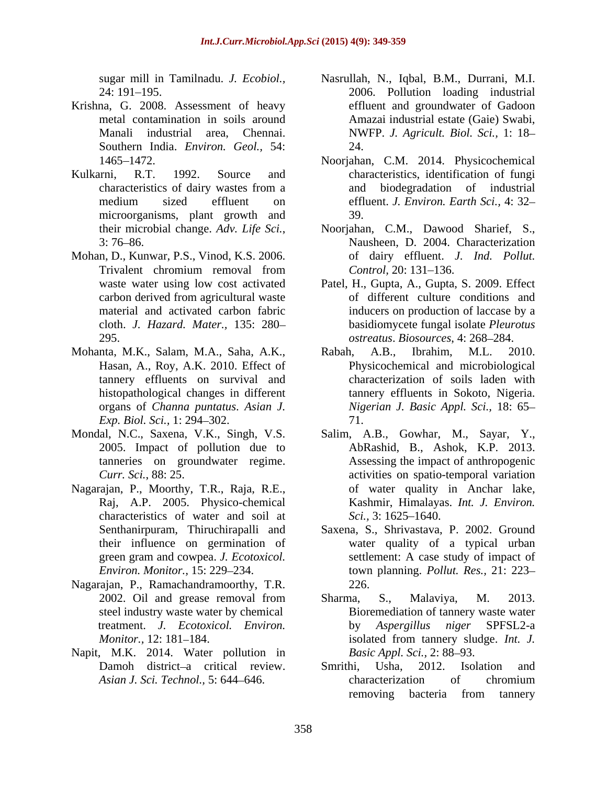- Krishna, G. 2008. Assessment of heavy metal contamination in soils around
- Kulkarni, R.T. 1992. Source and characteristics, identification of fungi microorganisms, plant growth and 39.
- Mohan, D., Kunwar, P.S., Vinod, K.S. 2006.
- Mohanta, M.K., Salam, M.A., Saha, A.K., Hasan, A., Roy, A.K. 2010. Effect of tannery effluents on survival and *Exp. Biol. Sci.,* 1: 294–302. **11.** 71.
- 
- Nagarajan, P., Moorthy, T.R., Raja, R.E., Raj, A.P. 2005. Physico-chemical characteristics of water and soil at Sci., 3:1625–1640.
- Nagarajan, P., Ramachandramoorthy, T.R.
- Napit, M.K. 2014. Water pollution in Basic Appl. Sci., 2: 88–93.
- sugar mill in Tamilnadu. *J. Ecobiol.*, Nasrullah, N., Iqbal, B.M., Durrani, M.I. 24: 191 195. 2006. Pollution loading industrial Manali industrial area, Chennai. NWFP. J. Agricult. Biol. Sci., 1: 18–<br>Southern India. *Environ. Geol.*, 54: 24. effluent and groundwater of Gadoon Amazai industrial estate (Gaie) Swabi, NWFP. *J. Agricult. Biol. Sci.,* 1: 18 24.
- 1465 1472. Noorjahan, C.M. 2014. Physicochemical characteristics of dairy wastes from a medium sized effluent on effluent. J. Environ. Earth Sci., 4: 32– and biodegradation of industrial effluent. *J. Environ. Earth Sci.,* 4: 32 39.
- their microbial change. *Adv. Life Sci.*, Noorjahan, C.M., Dawood Sharief, S., 3: 76–86. Nausheen, D. 2004. Characterization Trivalent chromium removal from Control, 20: 131–136. Noorjahan, C.M., Dawood Sharief, S., Nausheen, D. 2004. Characterization of dairy effluent. *J. Ind. Pollut. Control,* 20: 131–136.
- waste water using low cost activated Patel, H., Gupta, A., Gupta, S. 2009. Effect carbon derived from agricultural waste of different culture conditions and material and activated carbon fabric inducers on production of laccase by a cloth. *J. Hazard. Mater.,* 135: 280 basidiomycete fungal isolate *Pleurotus*  295. *ostreatus*. *Biosources*, 4: 268 284. of different culture conditions and
- histopathological changes in different tannery effluents in Sokoto, Nigeria. organs of *Channa puntatus*. *Asian J. Nigerian J. Basic Appl. Sci.,* 18: 65 Rabah, A.B., Ibrahim, M.L. 2010. Physicochemical and microbiological characterization of soils laden with 71.
- Mondal, N.C., Saxena, V.K., Singh, V.S. Salim, A.B., Gowhar, M., Sayar, Y., 2005. Impact of pollution due to AbRashid, B., Ashok, K.P. 2013. tanneries on groundwater regime. Assessing the impact of anthropogenic *Curr. Sci.*, 88: 25. activities on spatio-temporal variation of water quality in Anchar lake, Kashmir, Himalayas. *Int. J. Environ. Sci.,* 3: 1625–1640.
	- Senthanirpuram, Thiruchirapalli and Saxena, S., Shrivastava, P. 2002. Ground their influence on germination of water quality of a typical urban green gram and cowpea. *J. Ecotoxicol. Environ. Monitor.,* 15: 229 234. town planning. *Pollut. Res.,* 21: 223 settlement: A case study of impact of 226.
	- 2002. Oil and grease removal from Sharma, S., Malaviya, M. 2013. steel industry waste water by chemical Bioremediation of tannery waste water treatment. *J. Ecotoxicol. Environ.* by *Aspergillus niger* SPFSL2-a *Monitor.,* 12: 181–184. isolated from tannery sludge. *Int. J.* Sharma, S., Malaviya, M. 2013. isolated from tannery sludge. *Int. J. Basic Appl. Sci., 2: 88–93.*
	- Damoh district-a critical review. Smrithi, Usha, 2012. Isolation and *Asian J. Sci. Technol.,* 5: 644–646. *Conserversity characterization* of chromium Smrithi, Usha, 2012. Isolation and characterization of chromium removing bacteria from tannery